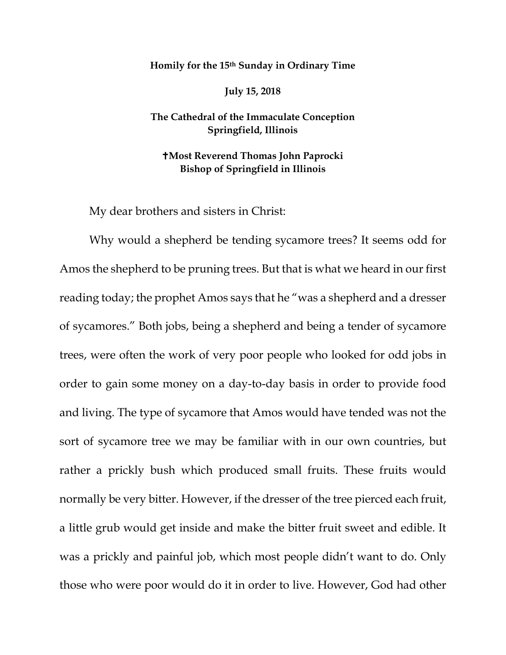## **Homily for the 15th Sunday in Ordinary Time**

**July 15, 2018**

**The Cathedral of the Immaculate Conception Springfield, Illinois**

**Most Reverend Thomas John Paprocki Bishop of Springfield in Illinois**

My dear brothers and sisters in Christ:

Why would a shepherd be tending sycamore trees? It seems odd for Amos the shepherd to be pruning trees. But that is what we heard in our first reading today; the prophet Amos says that he "was a shepherd and a dresser of sycamores." Both jobs, being a shepherd and being a tender of sycamore trees, were often the work of very poor people who looked for odd jobs in order to gain some money on a day-to-day basis in order to provide food and living. The type of sycamore that Amos would have tended was not the sort of sycamore tree we may be familiar with in our own countries, but rather a prickly bush which produced small fruits. These fruits would normally be very bitter. However, if the dresser of the tree pierced each fruit, a little grub would get inside and make the bitter fruit sweet and edible. It was a prickly and painful job, which most people didn't want to do. Only those who were poor would do it in order to live. However, God had other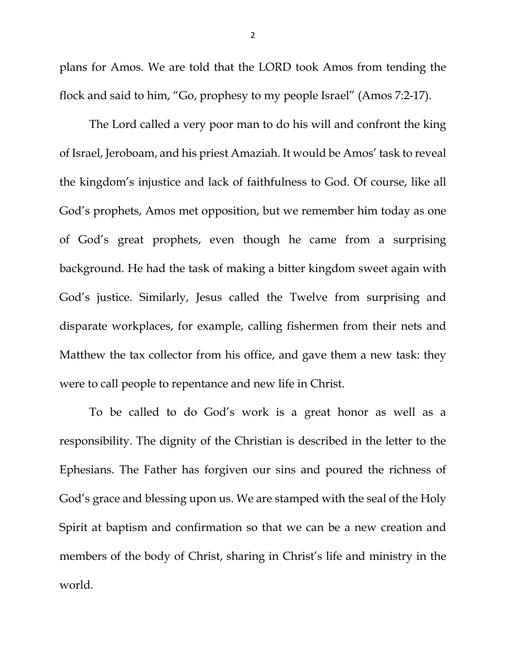plans for Amos. We are told that the LORD took Amos from tending the flock and said to him, "Go, prophesy to my people Israel" (Amos 7:2-17).

The Lord called a very poor man to do his will and confront the king of Israel, Jeroboam, and his priest Amaziah. It would be Amos' task to reveal the kingdom's injustice and lack of faithfulness to God. Of course, like all God's prophets, Amos met opposition, but we remember him today as one of God's great prophets, even though he came from a surprising background. He had the task of making a bitter kingdom sweet again with God's justice. Similarly, Jesus called the Twelve from surprising and disparate workplaces, for example, calling fishermen from their nets and Matthew the tax collector from his office, and gave them a new task: they were to call people to repentance and new life in Christ.

To be called to do God's work is a great honor as well as a responsibility. The dignity of the Christian is described in the letter to the Ephesians. The Father has forgiven our sins and poured the richness of God's grace and blessing upon us. We are stamped with the seal of the Holy Spirit at baptism and confirmation so that we can be a new creation and members of the body of Christ, sharing in Christ's life and ministry in the world.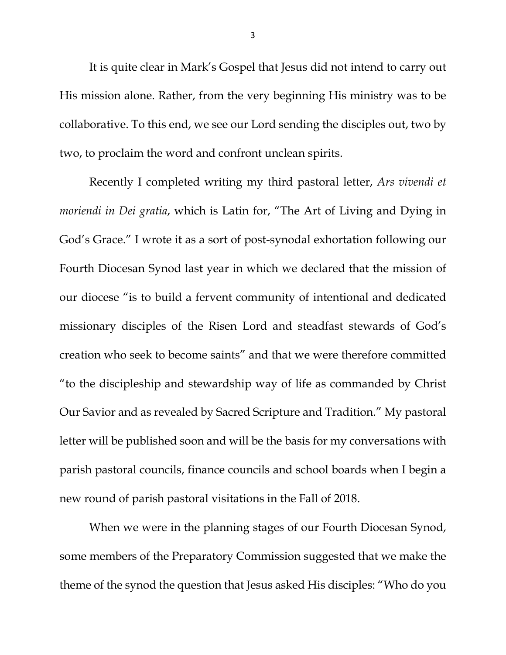It is quite clear in Mark's Gospel that Jesus did not intend to carry out His mission alone. Rather, from the very beginning His ministry was to be collaborative. To this end, we see our Lord sending the disciples out, two by two, to proclaim the word and confront unclean spirits.

Recently I completed writing my third pastoral letter, *Ars vivendi et moriendi in Dei gratia*, which is Latin for, "The Art of Living and Dying in God's Grace." I wrote it as a sort of post-synodal exhortation following our Fourth Diocesan Synod last year in which we declared that the mission of our diocese "is to build a fervent community of intentional and dedicated missionary disciples of the Risen Lord and steadfast stewards of God's creation who seek to become saints" and that we were therefore committed "to the discipleship and stewardship way of life as commanded by Christ Our Savior and as revealed by Sacred Scripture and Tradition." My pastoral letter will be published soon and will be the basis for my conversations with parish pastoral councils, finance councils and school boards when I begin a new round of parish pastoral visitations in the Fall of 2018.

When we were in the planning stages of our Fourth Diocesan Synod, some members of the Preparatory Commission suggested that we make the theme of the synod the question that Jesus asked His disciples: "Who do you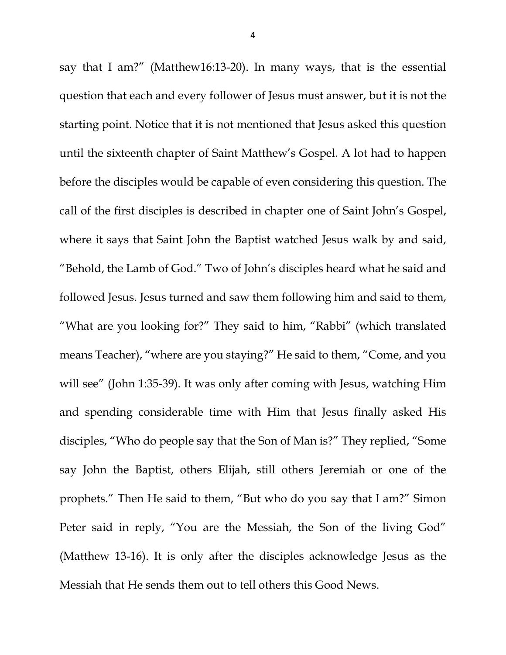say that I am?" (Matthew16:13-20). In many ways, that is the essential question that each and every follower of Jesus must answer, but it is not the starting point. Notice that it is not mentioned that Jesus asked this question until the sixteenth chapter of Saint Matthew's Gospel. A lot had to happen before the disciples would be capable of even considering this question. The call of the first disciples is described in chapter one of Saint John's Gospel, where it says that Saint John the Baptist watched Jesus walk by and said, "Behold, the Lamb of God." Two of John's disciples heard what he said and followed Jesus. Jesus turned and saw them following him and said to them, "What are you looking for?" They said to him, "Rabbi" (which translated means Teacher), "where are you staying?" He said to them, "Come, and you will see" (John 1:35-39). It was only after coming with Jesus, watching Him and spending considerable time with Him that Jesus finally asked His disciples, "Who do people say that the Son of Man is?" They replied, "Some say John the Baptist, others Elijah, still others Jeremiah or one of the prophets." Then He said to them, "But who do you say that I am?" Simon Peter said in reply, "You are the Messiah, the Son of the living God" (Matthew 13-16). It is only after the disciples acknowledge Jesus as the Messiah that He sends them out to tell others this Good News.